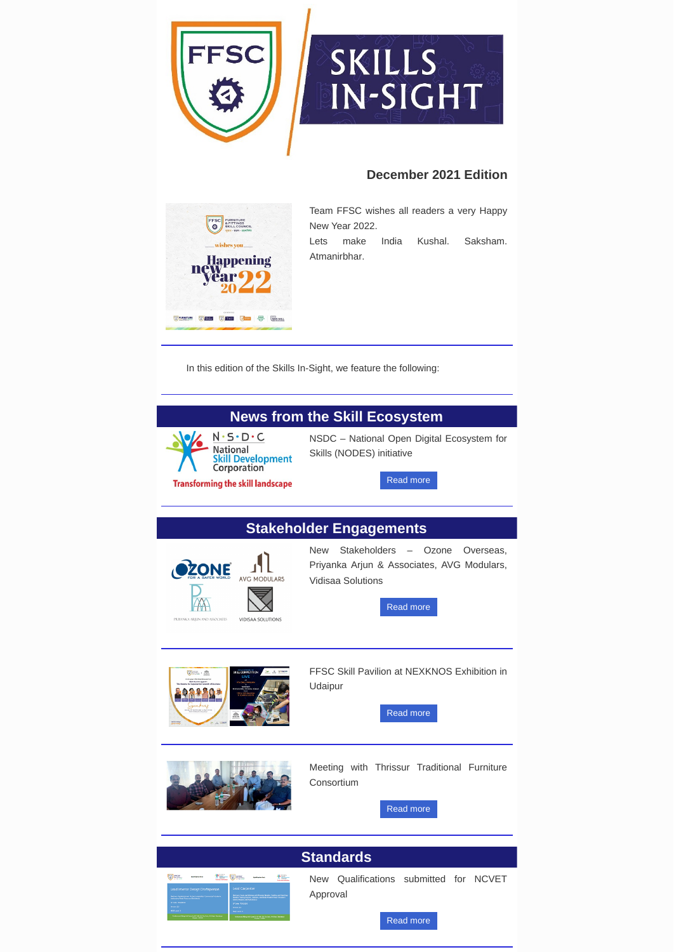Team FFSC wishes all readers a very Happy New Year 2022.

NSDC – National Open Digital Ecosystem for Skills (NODES) initiative

[Read](https://ffsc.in/news-from-skill-ecosystem/) more

New Stakeholders – Ozone Overseas, Priyanka Arjun & Associates, AVG Modulars, Vidisaa Solutions

[Read](https://ffsc.in/stakeholder-engagements/) more



FFSC Skill Pavilion at NEXKNOS Exhibition in Udaipur

[Read](https://ffsc.in/stakeholder-engagements/#:~:text=FFSC%20Skill%20Pavilion%20at%20NEXKNOS%20Exhibition%20in%20Udaipur) more





Lets make India Kushal. Saksham. Atmanirbhar.

Meeting with Thrissur Traditional Furniture Consortium

[Read](https://ffsc.in/stakeholder-engagements/#:~:text=Industry%20Meet%20%E2%80%93%20FFSC%20and%20Thrissur%20Traditional%20Furniture%20Cluster) more

New Qualifications submitted for NCVET Approval

#### [Read](https://ffsc.in/standards/) more





## **December 2021 Edition**



In this edition of the Skills In-Sight, we feature the following:

# **News from the Skill Ecosystem**



 $N \cdot S \cdot D \cdot C$ **National Skill Development**<br>Corporation

**Transforming the skill landscape** 

# **Stakeholder Engagements**



PRIYANKA ARJUN AND ASSOCIATES



### **Standards**